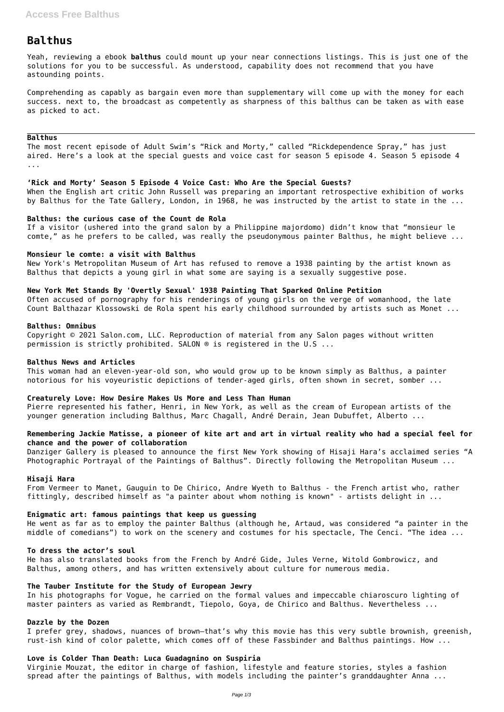# **Balthus**

Yeah, reviewing a ebook **balthus** could mount up your near connections listings. This is just one of the solutions for you to be successful. As understood, capability does not recommend that you have astounding points.

Comprehending as capably as bargain even more than supplementary will come up with the money for each success. next to, the broadcast as competently as sharpness of this balthus can be taken as with ease as picked to act.

#### **Balthus**

The most recent episode of Adult Swim's "Rick and Morty," called "Rickdependence Spray," has just aired. Here's a look at the special guests and voice cast for season 5 episode 4. Season 5 episode 4 ...

#### **'Rick and Morty' Season 5 Episode 4 Voice Cast: Who Are the Special Guests?**

When the English art critic John Russell was preparing an important retrospective exhibition of works by Balthus for the Tate Gallery, London, in 1968, he was instructed by the artist to state in the ...

## **Balthus: the curious case of the Count de Rola**

If a visitor (ushered into the grand salon by a Philippine majordomo) didn't know that "monsieur le comte," as he prefers to be called, was really the pseudonymous painter Balthus, he might believe ...

#### **Monsieur le comte: a visit with Balthus**

New York's Metropolitan Museum of Art has refused to remove a 1938 painting by the artist known as Balthus that depicts a young girl in what some are saying is a sexually suggestive pose.

#### **New York Met Stands By 'Overtly Sexual' 1938 Painting That Sparked Online Petition**

He went as far as to employ the painter Balthus (although he, Artaud, was considered "a painter in the middle of comedians") to work on the scenery and costumes for his spectacle, The Cenci. "The idea ...

Often accused of pornography for his renderings of young girls on the verge of womanhood, the late Count Balthazar Klossowski de Rola spent his early childhood surrounded by artists such as Monet ...

#### **Balthus: Omnibus**

Copyright © 2021 Salon.com, LLC. Reproduction of material from any Salon pages without written permission is strictly prohibited. SALON ® is registered in the U.S ...

#### **Balthus News and Articles**

This woman had an eleven-year-old son, who would grow up to be known simply as Balthus, a painter notorious for his voyeuristic depictions of tender-aged girls, often shown in secret, somber ...

#### **Creaturely Love: How Desire Makes Us More and Less Than Human**

Pierre represented his father, Henri, in New York, as well as the cream of European artists of the younger generation including Balthus, Marc Chagall, André Derain, Jean Dubuffet, Alberto ...

## **Remembering Jackie Matisse, a pioneer of kite art and art in virtual reality who had a special feel for chance and the power of collaboration**

Danziger Gallery is pleased to announce the first New York showing of Hisaji Hara's acclaimed series "A Photographic Portrayal of the Paintings of Balthus". Directly following the Metropolitan Museum ...

#### **Hisaji Hara**

From Vermeer to Manet, Gauguin to De Chirico, Andre Wyeth to Balthus - the French artist who, rather fittingly, described himself as "a painter about whom nothing is known" - artists delight in ...

#### **Enigmatic art: famous paintings that keep us guessing**

## **To dress the actor's soul**

He has also translated books from the French by André Gide, Jules Verne, Witold Gombrowicz, and Balthus, among others, and has written extensively about culture for numerous media.

## **The Tauber Institute for the Study of European Jewry**

In his photographs for Vogue, he carried on the formal values and impeccable chiaroscuro lighting of master painters as varied as Rembrandt, Tiepolo, Goya, de Chirico and Balthus. Nevertheless ...

#### **Dazzle by the Dozen**

I prefer grey, shadows, nuances of brown—that's why this movie has this very subtle brownish, greenish, rust-ish kind of color palette, which comes off of these Fassbinder and Balthus paintings. How ...

## **Love is Colder Than Death: Luca Guadagnino on Suspiria**

Virginie Mouzat, the editor in charge of fashion, lifestyle and feature stories, styles a fashion spread after the paintings of Balthus, with models including the painter's granddaughter Anna ...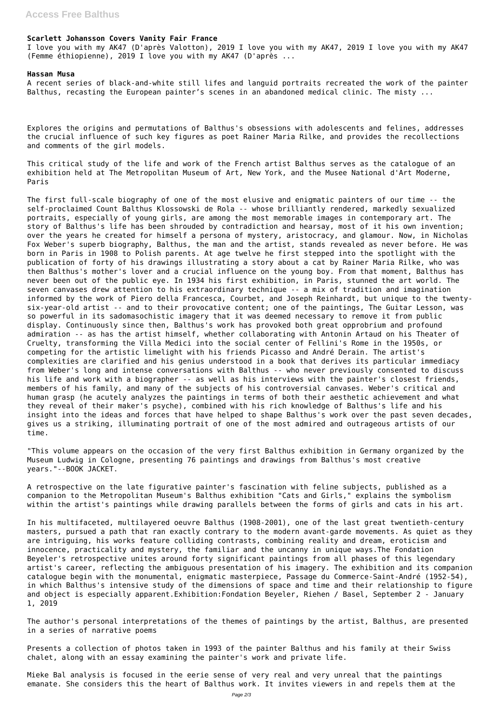## **Scarlett Johansson Covers Vanity Fair France**

I love you with my AK47 (D'après Valotton), 2019 I love you with my AK47, 2019 I love you with my AK47 (Femme éthiopienne), 2019 I love you with my AK47 (D'après ...

#### **Hassan Musa**

A recent series of black-and-white still lifes and languid portraits recreated the work of the painter Balthus, recasting the European painter's scenes in an abandoned medical clinic. The misty ...

Explores the origins and permutations of Balthus's obsessions with adolescents and felines, addresses the crucial influence of such key figures as poet Rainer Maria Rilke, and provides the recollections and comments of the girl models.

This critical study of the life and work of the French artist Balthus serves as the catalogue of an exhibition held at The Metropolitan Museum of Art, New York, and the Musee National d'Art Moderne, Paris

The first full-scale biography of one of the most elusive and enigmatic painters of our time -- the self-proclaimed Count Balthus Klossowski de Rola -- whose brilliantly rendered, markedly sexualized portraits, especially of young girls, are among the most memorable images in contemporary art. The story of Balthus's life has been shrouded by contradiction and hearsay, most of it his own invention; over the years he created for himself a persona of mystery, aristocracy, and glamour. Now, in Nicholas Fox Weber's superb biography, Balthus, the man and the artist, stands revealed as never before. He was born in Paris in 1908 to Polish parents. At age twelve he first stepped into the spotlight with the publication of forty of his drawings illustrating a story about a cat by Rainer Maria Rilke, who was then Balthus's mother's lover and a crucial influence on the young boy. From that moment, Balthus has never been out of the public eye. In 1934 his first exhibition, in Paris, stunned the art world. The seven canvases drew attention to his extraordinary technique -- a mix of tradition and imagination informed by the work of Piero della Francesca, Courbet, and Joseph Reinhardt, but unique to the twentysix-year-old artist -- and to their provocative content; one of the paintings, The Guitar Lesson, was so powerful in its sadomasochistic imagery that it was deemed necessary to remove it from public display. Continuously since then, Balthus's work has provoked both great opprobrium and profound admiration -- as has the artist himself, whether collaborating with Antonin Artaud on his Theater of Cruelty, transforming the Villa Medici into the social center of Fellini's Rome in the 1950s, or competing for the artistic limelight with his friends Picasso and André Derain. The artist's complexities are clarified and his genius understood in a book that derives its particular immediacy from Weber's long and intense conversations with Balthus -- who never previously consented to discuss his life and work with a biographer -- as well as his interviews with the painter's closest friends, members of his family, and many of the subjects of his controversial canvases. Weber's critical and human grasp (he acutely analyzes the paintings in terms of both their aesthetic achievement and what they reveal of their maker's psyche), combined with his rich knowledge of Balthus's life and his insight into the ideas and forces that have helped to shape Balthus's work over the past seven decades, gives us a striking, illuminating portrait of one of the most admired and outrageous artists of our time.

"This volume appears on the occasion of the very first Balthus exhibition in Germany organized by the Museum Ludwig in Cologne, presenting 76 paintings and drawings from Balthus's most creative years."--BOOK JACKET.

A retrospective on the late figurative painter's fascination with feline subjects, published as a companion to the Metropolitan Museum's Balthus exhibition "Cats and Girls," explains the symbolism within the artist's paintings while drawing parallels between the forms of girls and cats in his art.

In his multifaceted, multilayered oeuvre Balthus (1908-2001), one of the last great twentieth-century masters, pursued a path that ran exactly contrary to the modern avant-garde movements. As quiet as they are intriguing, his works feature colliding contrasts, combining reality and dream, eroticism and innocence, practicality and mystery, the familiar and the uncanny in unique ways.The Fondation Beyeler's retrospective unites around forty significant paintings from all phases of this legendary artist's career, reflecting the ambiguous presentation of his imagery. The exhibition and its companion catalogue begin with the monumental, enigmatic masterpiece, Passage du Commerce-Saint-André (1952-54), in which Balthus's intensive study of the dimensions of space and time and their relationship to figure and object is especially apparent.Exhibition:Fondation Beyeler, Riehen / Basel, September 2 - January 1, 2019

The author's personal interpretations of the themes of paintings by the artist, Balthus, are presented in a series of narrative poems

Presents a collection of photos taken in 1993 of the painter Balthus and his family at their Swiss chalet, along with an essay examining the painter's work and private life.

Mieke Bal analysis is focused in the eerie sense of very real and very unreal that the paintings emanate. She considers this the heart of Balthus work. It invites viewers in and repels them at the